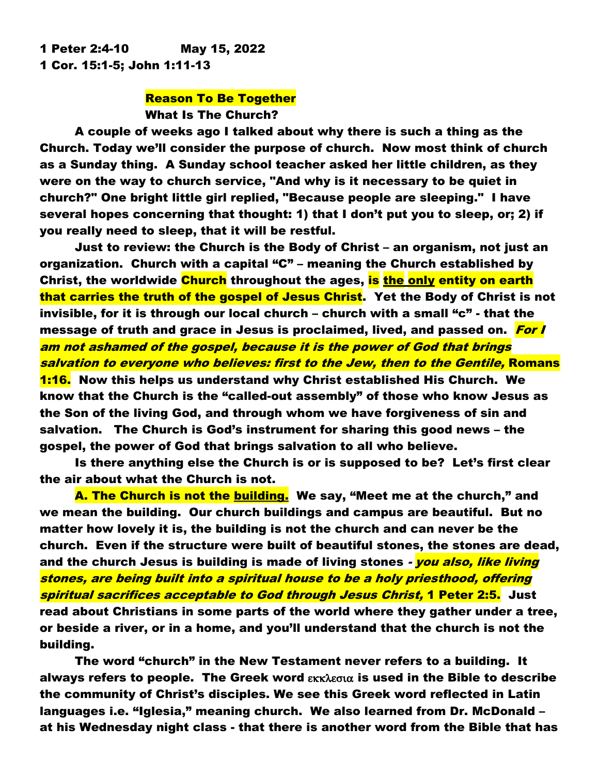1 Peter 2:4-10 May 15, 2022 1 Cor. 15:1-5; John 1:11-13

# Reason To Be Together What Is The Church?

A couple of weeks ago I talked about why there is such a thing as the Church. Today we'll consider the purpose of church. Now most think of church as a Sunday thing. A Sunday school teacher asked her little children, as they were on the way to church service, "And why is it necessary to be quiet in church?" One bright little girl replied, "Because people are sleeping." I have several hopes concerning that thought: 1) that I don't put you to sleep, or; 2) if you really need to sleep, that it will be restful.

Just to review: the Church is the Body of Christ – an organism, not just an organization. Church with a capital "C" – meaning the Church established by Christ, the worldwide Church throughout the ages, is the only entity on earth that carries the truth of the gospel of Jesus Christ. Yet the Body of Christ is not invisible, for it is through our local church – church with a small "c" - that the message of truth and grace in Jesus is proclaimed, lived, and passed on. For I am not ashamed of the gospel, because it is the power of God that brings salvation to everyone who believes: first to the Jew, then to the Gentile, Romans 1:16. Now this helps us understand why Christ established His Church. We know that the Church is the "called-out assembly" of those who know Jesus as the Son of the living God, and through whom we have forgiveness of sin and salvation. The Church is God's instrument for sharing this good news – the gospel, the power of God that brings salvation to all who believe.

Is there anything else the Church is or is supposed to be? Let's first clear the air about what the Church is not.

A. The Church is not the building. We say, "Meet me at the church," and we mean the building. Our church buildings and campus are beautiful. But no matter how lovely it is, the building is not the church and can never be the church. Even if the structure were built of beautiful stones, the stones are dead, and the church Jesus is building is made of living stones - you also, like living stones, are being built into a spiritual house to be a holy priesthood, offering spiritual sacrifices acceptable to God through Jesus Christ, 1 Peter 2:5. Just read about Christians in some parts of the world where they gather under a tree, or beside a river, or in a home, and you'll understand that the church is not the building.

The word "church" in the New Testament never refers to a building. It always refers to people. The Greek word  $\epsilon$ KK $\lambda$  $\epsilon$ σι $\alpha$  is used in the Bible to describe the community of Christ's disciples. We see this Greek word reflected in Latin languages i.e. "Iglesia," meaning church. We also learned from Dr. McDonald – at his Wednesday night class - that there is another word from the Bible that has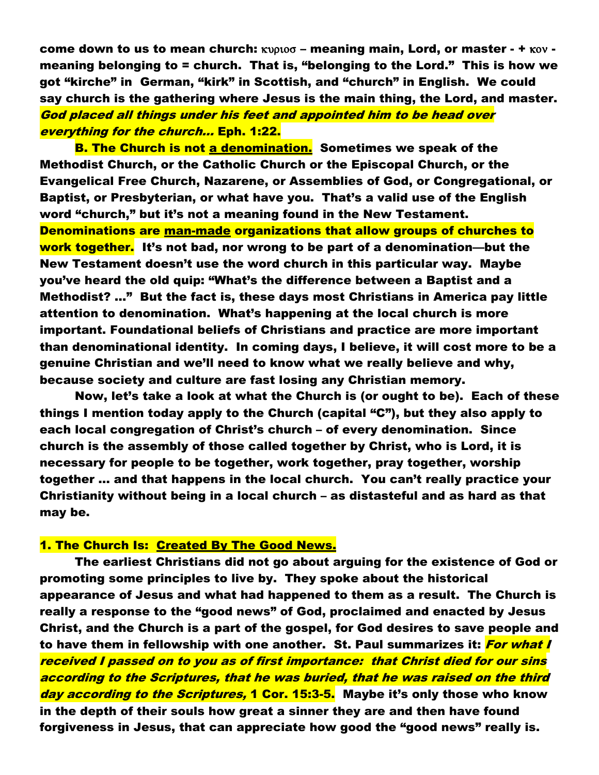come down to us to mean church:  $KVD1000 -$  meaning main, Lord, or master  $- + KOV$ meaning belonging to = church. That is, "belonging to the Lord." This is how we got "kirche" in German, "kirk" in Scottish, and "church" in English. We could say church is the gathering where Jesus is the main thing, the Lord, and master. God placed all things under his feet and appointed him to be head over everything for the church… Eph. 1:22.

**B. The Church is not a denomination.** Sometimes we speak of the Methodist Church, or the Catholic Church or the Episcopal Church, or the Evangelical Free Church, Nazarene, or Assemblies of God, or Congregational, or Baptist, or Presbyterian, or what have you. That's a valid use of the English word "church," but it's not a meaning found in the New Testament. Denominations are man-made organizations that allow groups of churches to work together. It's not bad, nor wrong to be part of a denomination—but the New Testament doesn't use the word church in this particular way. Maybe you've heard the old quip: "What's the difference between a Baptist and a Methodist? …" But the fact is, these days most Christians in America pay little attention to denomination. What's happening at the local church is more important. Foundational beliefs of Christians and practice are more important than denominational identity. In coming days, I believe, it will cost more to be a genuine Christian and we'll need to know what we really believe and why, because society and culture are fast losing any Christian memory.

Now, let's take a look at what the Church is (or ought to be). Each of these things I mention today apply to the Church (capital "C"), but they also apply to each local congregation of Christ's church – of every denomination. Since church is the assembly of those called together by Christ, who is Lord, it is necessary for people to be together, work together, pray together, worship together … and that happens in the local church. You can't really practice your Christianity without being in a local church – as distasteful and as hard as that may be.

### 1. The Church Is: Created By The Good News.

The earliest Christians did not go about arguing for the existence of God or promoting some principles to live by. They spoke about the historical appearance of Jesus and what had happened to them as a result. The Church is really a response to the "good news" of God, proclaimed and enacted by Jesus Christ, and the Church is a part of the gospel, for God desires to save people and to have them in fellowship with one another. St. Paul summarizes it: <mark>For what I</mark> received I passed on to you as of first importance: that Christ died for our sins according to the Scriptures, that he was buried, that he was raised on the third day according to the Scriptures, 1 Cor. 15:3-5. Maybe it's only those who know in the depth of their souls how great a sinner they are and then have found forgiveness in Jesus, that can appreciate how good the "good news" really is.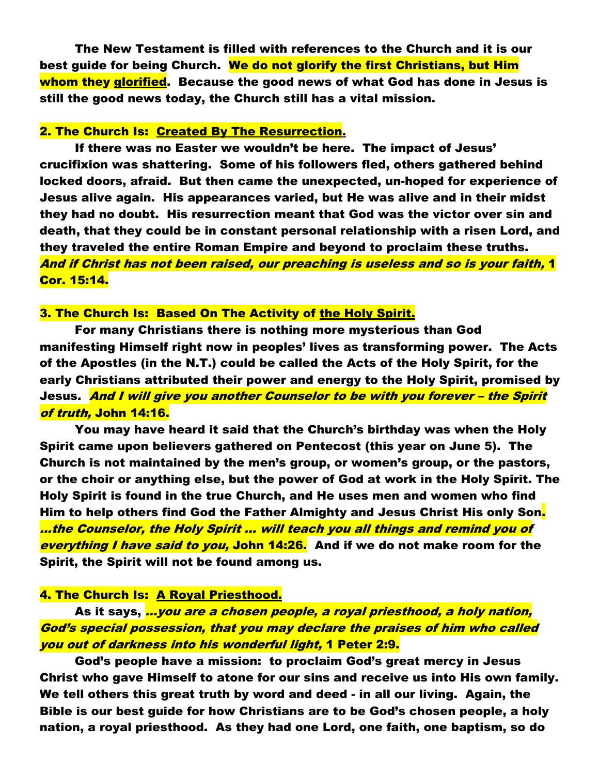The New Testament is filled with references to the Church and it is our best guide for being Church. We do not glorify the first Christians, but Him whom they glorified. Because the good news of what God has done in Jesus is still the good news today, the Church still has a vital mission.

#### 2. The Church Is: Created By The Resurrection.

If there was no Easter we wouldn't be here. The impact of Jesus' crucifixion was shattering. Some of his followers fled, others gathered behind locked doors, afraid. But then came the unexpected, un-hoped for experience of Jesus alive again. His appearances varied, but He was alive and in their midst they had no doubt. His resurrection meant that God was the victor over sin and death, that they could be in constant personal relationship with a risen Lord, and they traveled the entire Roman Empire and beyond to proclaim these truths. And if Christ has not been raised, our preaching is useless and so is your faith, 1 Cor. 15:14.

#### 3. The Church Is: Based On The Activity of the Holy Spirit.

For many Christians there is nothing more mysterious than God manifesting Himself right now in peoples' lives as transforming power. The Acts of the Apostles (in the N.T.) could be called the Acts of the Holy Spirit, for the early Christians attributed their power and energy to the Holy Spirit, promised by Jesus. *And I will give you another Counselor to be with you forever – the Spirit* of truth, John 14:16.

You may have heard it said that the Church's birthday was when the Holy Spirit came upon believers gathered on Pentecost (this year on June 5). The Church is not maintained by the men's group, or women's group, or the pastors, or the choir or anything else, but the power of God at work in the Holy Spirit. The Holy Spirit is found in the true Church, and He uses men and women who find Him to help others find God the Father Almighty and Jesus Christ His only Son. …the Counselor, the Holy Spirit … will teach you all things and remind you of everything I have said to you, John 14:26. And if we do not make room for the Spirit, the Spirit will not be found among us.

#### 4. The Church Is: A Royal Priesthood.

As it says, *...you are a chosen people, a royal priesthood, a holy nation,* God's special possession, that you may declare the praises of him who called you out of darkness into his wonderful light, 1 Peter 2:9.

God's people have a mission: to proclaim God's great mercy in Jesus Christ who gave Himself to atone for our sins and receive us into His own family. We tell others this great truth by word and deed - in all our living. Again, the Bible is our best guide for how Christians are to be God's chosen people, a holy nation, a royal priesthood. As they had one Lord, one faith, one baptism, so do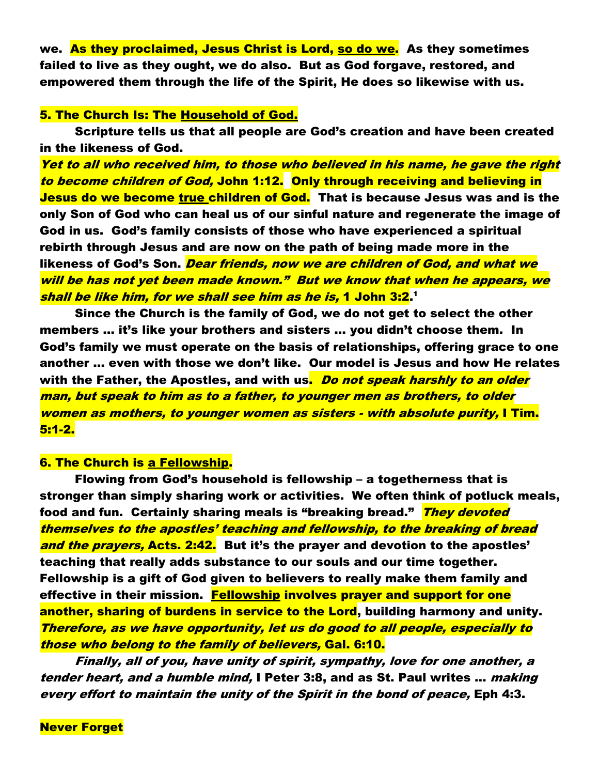we. As they proclaimed, Jesus Christ is Lord, so do we. As they sometimes failed to live as they ought, we do also. But as God forgave, restored, and empowered them through the life of the Spirit, He does so likewise with us.

## 5. The Church Is: The Household of God.

Scripture tells us that all people are God's creation and have been created in the likeness of God.

Yet to all who received him, to those who believed in his name, he gave the right to become children of God, John 1:12. Only through receiving and believing in Jesus do we become true children of God. That is because Jesus was and is the only Son of God who can heal us of our sinful nature and regenerate the image of God in us. God's family consists of those who have experienced a spiritual rebirth through Jesus and are now on the path of being made more in the likeness of God's Son. <mark>Dear friends, now we are children of God, and what we</mark> will be has not yet been made known." But we know that when he appears, we shall be like him, for we shall see him as he is, 1 John 3:2.1

Since the Church is the family of God, we do not get to select the other members … it's like your brothers and sisters … you didn't choose them. In God's family we must operate on the basis of relationships, offering grace to one another … even with those we don't like. Our model is Jesus and how He relates with the Father, the Apostles, and with us<mark>. Do no*t speak harshly to an older*</mark> man, but speak to him as to a father, to younger men as brothers, to older women as mothers, to younger women as sisters - with absolute purity, I Tim. 5:1-2.

#### 6. The Church is a Fellowship.

Flowing from God's household is fellowship – a togetherness that is stronger than simply sharing work or activities. We often think of potluck meals, food and fun. Certainly sharing meals is "breaking bread." **They devoted** themselves to the apostles' teaching and fellowship, to the breaking of bread and the prayers, Acts. 2:42. But it's the prayer and devotion to the apostles' teaching that really adds substance to our souls and our time together. Fellowship is a gift of God given to believers to really make them family and effective in their mission. Fellowship involves prayer and support for one another, sharing of burdens in service to the Lord, building harmony and unity. Therefore, as we have opportunity, let us do good to all people, especially to those who belong to the family of believers, Gal. 6:10.

Finally, all of you, have unity of spirit, sympathy, love for one another, a tender heart, and a humble mind, I Peter 3:8, and as St. Paul writes … making every effort to maintain the unity of the Spirit in the bond of peace, Eph 4:3.

**Never Forget**